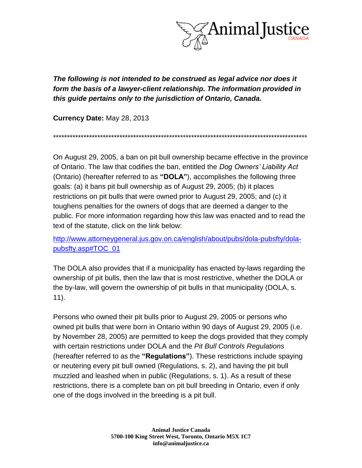

*The following is not intended to be construed as legal advice nor does it form the basis of a lawyer-client relationship. The information provided in this guide pertains only to the jurisdiction of Ontario, Canada.*

**Currency Date:** May 28, 2013

On August 29, 2005, a ban on pit bull ownership became effective in the province of Ontario. The law that codifies the ban, entitled the *Dog Owners' Liability Act* (Ontario) (hereafter referred to as **"DOLA"**), accomplishes the following three goals: (a) it bans pit bull ownership as of August 29, 2005; (b) it places restrictions on pit bulls that were owned prior to August 29, 2005; and (c) it toughens penalties for the owners of dogs that are deemed a danger to the public. For more information regarding how this law was enacted and to read the text of the statute, click on the link below:

\*\*\*\*\*\*\*\*\*\*\*\*\*\*\*\*\*\*\*\*\*\*\*\*\*\*\*\*\*\*\*\*\*\*\*\*\*\*\*\*\*\*\*\*\*\*\*\*\*\*\*\*\*\*\*\*\*\*\*\*\*\*\*\*\*\*\*\*\*\*\*\*\*\*\*\*\*\*\*\*\*\*\*\*\*\*\*\*\*\*\*\*

[http://www.attorneygeneral.jus.gov.on.ca/english/about/pubs/dola-pubsfty/dola](http://www.attorneygeneral.jus.gov.on.ca/english/about/pubs/dola-pubsfty/dola-pubsfty.asp#TOC_01)[pubsfty.asp#TOC\\_01](http://www.attorneygeneral.jus.gov.on.ca/english/about/pubs/dola-pubsfty/dola-pubsfty.asp#TOC_01)

The DOLA also provides that if a municipality has enacted by-laws regarding the ownership of pit bulls, then the law that is most restrictive, whether the DOLA or the by-law, will govern the ownership of pit bulls in that municipality (DOLA, s. 11).

Persons who owned their pit bulls prior to August 29, 2005 or persons who owned pit bulls that were born in Ontario within 90 days of August 29, 2005 (i.e. by November 28, 2005) are permitted to keep the dogs provided that they comply with certain restrictions under DOLA and the *Pit Bull Controls Regulations* (hereafter referred to as the **"Regulations"**). These restrictions include spaying or neutering every pit bull owned (Regulations, s. 2), and having the pit bull muzzled and leashed when in public (Regulations, s. 1). As a result of these restrictions, there is a complete ban on pit bull breeding in Ontario, even if only one of the dogs involved in the breeding is a pit bull.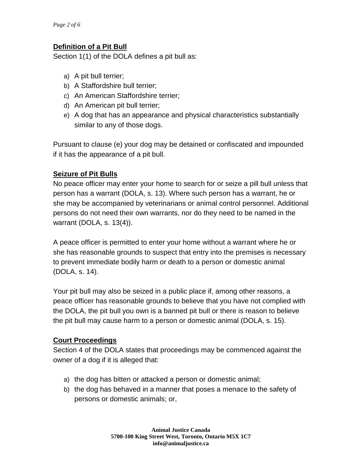# **Definition of a Pit Bull**

Section 1(1) of the DOLA defines a pit bull as:

- a) A pit bull terrier;
- b) A Staffordshire bull terrier;
- c) An American Staffordshire terrier;
- d) An American pit bull terrier;
- e) A dog that has an appearance and physical characteristics substantially similar to any of those dogs.

Pursuant to clause (e) your dog may be detained or confiscated and impounded if it has the appearance of a pit bull.

# **Seizure of Pit Bulls**

No peace officer may enter your home to search for or seize a pill bull unless that person has a warrant (DOLA, s. 13). Where such person has a warrant, he or she may be accompanied by veterinarians or animal control personnel. Additional persons do not need their own warrants, nor do they need to be named in the warrant (DOLA, s. 13(4)).

A peace officer is permitted to enter your home without a warrant where he or she has reasonable grounds to suspect that entry into the premises is necessary to prevent immediate bodily harm or death to a person or domestic animal (DOLA, s. 14).

Your pit bull may also be seized in a public place if, among other reasons, a peace officer has reasonable grounds to believe that you have not complied with the DOLA, the pit bull you own is a banned pit bull or there is reason to believe the pit bull may cause harm to a person or domestic animal (DOLA, s. 15).

### **Court Proceedings**

Section 4 of the DOLA states that proceedings may be commenced against the owner of a dog if it is alleged that:

- a) the dog has bitten or attacked a person or domestic animal;
- b) the dog has behaved in a manner that poses a menace to the safety of persons or domestic animals; or,

**Animal Justice Canada 5700-100 King Street West, Toronto, Ontario M5X 1C7 info@animaljustice.ca**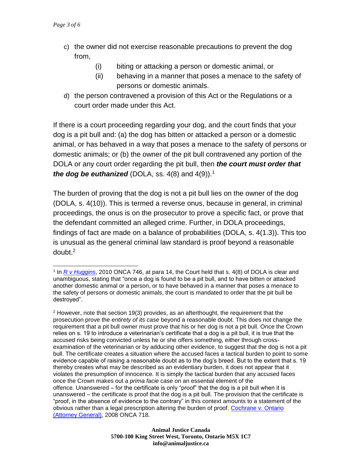- c) the owner did not exercise reasonable precautions to prevent the dog from,
	- (i) biting or attacking a person or domestic animal, or
	- (ii) behaving in a manner that poses a menace to the safety of persons or domestic animals.
- d) the person contravened a provision of this Act or the Regulations or a court order made under this Act.

If there is a court proceeding regarding your dog, and the court finds that your dog is a pit bull and: (a) the dog has bitten or attacked a person or a domestic animal, or has behaved in a way that poses a menace to the safety of persons or domestic animals; or (b) the owner of the pit bull contravened any portion of the DOLA or any court order regarding the pit bull, then *the court must order that the dog be euthanized* (DOLA, ss.  $4(8)$  and  $4(9)$ ).<sup>1</sup>

The burden of proving that the dog is not a pit bull lies on the owner of the dog (DOLA, s. 4(10)). This is termed a reverse onus, because in general, in criminal proceedings, the onus is on the prosecutor to prove a specific fact, or prove that the defendant committed an alleged crime. Further, in DOLA proceedings, findings of fact are made on a balance of probabilities (DOLA, s. 4(1.3)). This too is unusual as the general criminal law standard is proof beyond a reasonable doubt.<sup>2</sup>

l 1 In *R v [Huggins](http://www.canlii.org/en/on/onca/doc/2010/2010onca746/2010onca746.html)*, 2010 ONCA 746, at para 14, the Court held that s. 4(8) of DOLA is clear and unambiguous, stating that "once a dog is found to be a pit bull, and to have bitten or attacked another domestic animal or a person, or to have behaved in a manner that poses a menace to the safety of persons or domestic animals, the court is mandated to order that the pit bull be destroyed".

<sup>2</sup> However, note that section 19(3) provides, as an afterthought, the requirement that the prosecution prove the *entirety of its case* beyond a reasonable doubt. This does not change the requirement that a pit bull owner must prove that his or her dog is not a pit bull. Once the Crown relies on s. 19 to introduce a veterinarian's certificate that a dog is a pit bull, it is true that the accused risks being convicted unless he or she offers something, either through crossexamination of the veterinarian or by adducing other evidence, to suggest that the dog is not a pit bull. The certificate creates a situation where the accused faces a tactical burden to point to some evidence capable of raising a reasonable doubt as to the dog's breed. But to the extent that s. 19 thereby creates what may be described as an evidentiary burden, it does not appear that it violates the presumption of innocence. It is simply the tactical burden that any accused faces once the Crown makes out a *prima facie* case on an essential element of the offence. Unanswered – for the certificate is only "proof" that the dog is a pit bull when it is unanswered – the certificate is proof that the dog is a pit bull. The provision that the certificate is "proof, in the absence of evidence to the contrary" in this context amounts to a statement of the obvious rather than a legal prescription altering the burden of proof. [Cochrane v. Ontario](http://www.canlii.org/en/on/onca/doc/2008/2008onca718/2008onca718.html)  [\(Attorney General\),](http://www.canlii.org/en/on/onca/doc/2008/2008onca718/2008onca718.html) 2008 ONCA 718.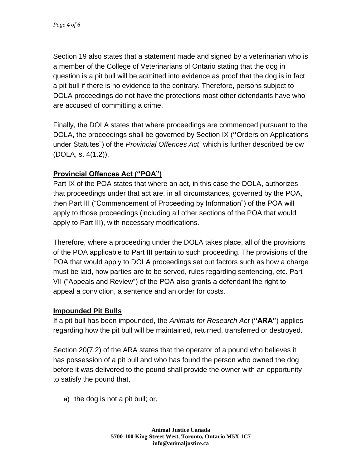Section 19 also states that a statement made and signed by a veterinarian who is a member of the College of Veterinarians of Ontario stating that the dog in question is a pit bull will be admitted into evidence as proof that the dog is in fact a pit bull if there is no evidence to the contrary. Therefore, persons subject to DOLA proceedings do not have the protections most other defendants have who are accused of committing a crime.

Finally, the DOLA states that where proceedings are commenced pursuant to the DOLA, the proceedings shall be governed by Section IX (**"**Orders on Applications under Statutes") of the *Provincial Offences Act*, which is further described below (DOLA, s. 4(1.2)).

# **Provincial Offences Act ("POA")**

Part IX of the POA states that where an act, in this case the DOLA, authorizes that proceedings under that act are, in all circumstances, governed by the POA, then Part III ("Commencement of Proceeding by Information") of the POA will apply to those proceedings (including all other sections of the POA that would apply to Part III), with necessary modifications.

Therefore, where a proceeding under the DOLA takes place, all of the provisions of the POA applicable to Part III pertain to such proceeding. The provisions of the POA that would apply to DOLA proceedings set out factors such as how a charge must be laid, how parties are to be served, rules regarding sentencing, etc. Part VII ("Appeals and Review") of the POA also grants a defendant the right to appeal a conviction, a sentence and an order for costs.

# **Impounded Pit Bulls**

If a pit bull has been impounded, the *Animals for Research Act* (**"ARA"**) applies regarding how the pit bull will be maintained, returned, transferred or destroyed.

Section 20(7.2) of the ARA states that the operator of a pound who believes it has possession of a pit bull and who has found the person who owned the dog before it was delivered to the pound shall provide the owner with an opportunity to satisfy the pound that,

a) the dog is not a pit bull; or,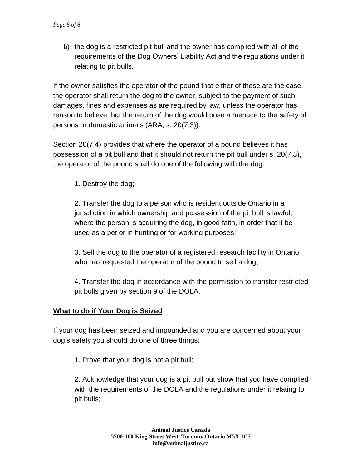b) the dog is a restricted pit bull and the owner has complied with all of the requirements of the Dog Owners' Liability Act and the regulations under it relating to pit bulls.

If the owner satisfies the operator of the pound that either of these are the case, the operator shall return the dog to the owner, subject to the payment of such damages, fines and expenses as are required by law, unless the operator has reason to believe that the return of the dog would pose a menace to the safety of persons or domestic animals (ARA, s. 20(7.3)).

Section 20(7.4) provides that where the operator of a pound believes it has possession of a pit bull and that it should not return the pit bull under s. 20(7.3), the operator of the pound shall do one of the following with the dog:

1. Destroy the dog;

2. Transfer the dog to a person who is resident outside Ontario in a jurisdiction in which ownership and possession of the pit bull is lawful, where the person is acquiring the dog, in good faith, in order that it be used as a pet or in hunting or for working purposes;

3. Sell the dog to the operator of a registered research facility in Ontario who has requested the operator of the pound to sell a dog;

4. Transfer the dog in accordance with the permission to transfer restricted pit bulls given by section 9 of the DOLA.

# **What to do if Your Dog is Seized**

If your dog has been seized and impounded and you are concerned about your dog's safety you should do one of three things:

1. Prove that your dog is not a pit bull;

2. Acknowledge that your dog is a pit bull but show that you have complied with the requirements of the DOLA and the regulations under it relating to pit bulls;